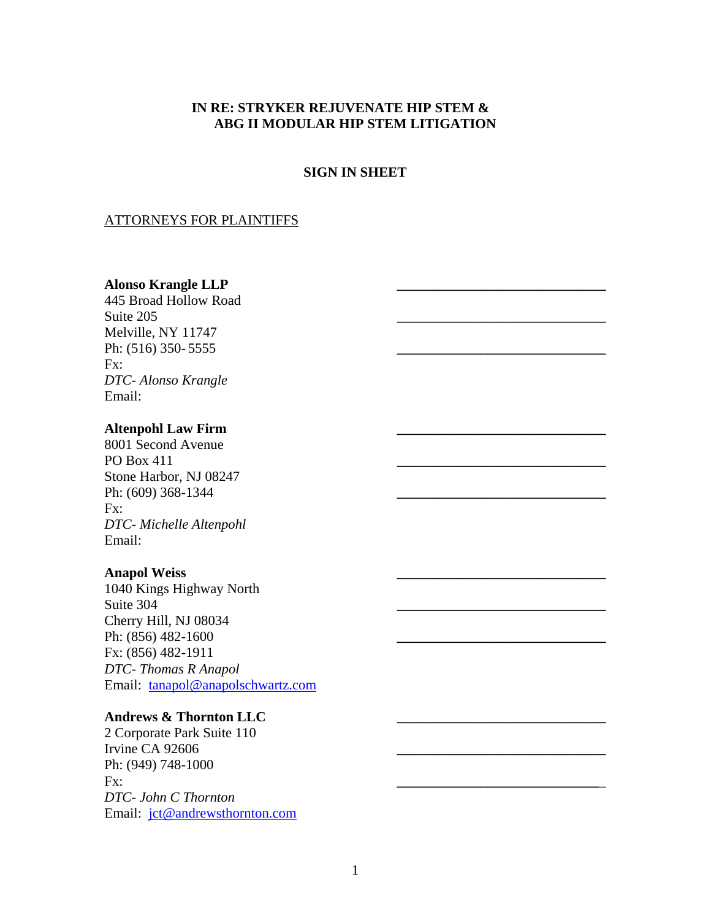## **IN RE: STRYKER REJUVENATE HIP STEM & ABG II MODULAR HIP STEM LITIGATION**

## **SIGN IN SHEET**

## ATTORNEYS FOR PLAINTIFFS

## **Alonso Krangle LLP \_\_\_\_\_\_\_\_\_\_\_\_\_\_\_\_\_\_\_\_\_\_\_\_\_\_\_\_\_\_**

445 Broad Hollow Road Suite  $205$ Melville, NY 11747 Ph: (516) 350- 5555 Fx: *DTC- Alonso Krangle*  Email:

## **Altenpohl Law Firm \_\_\_\_\_\_\_\_\_\_\_\_\_\_\_\_\_\_\_\_\_\_\_\_\_\_\_\_\_\_**

8001 Second Avenue PO Box 411 Stone Harbor, NJ 08247 Ph: (609) 368-1344 Fx: *DTC- Michelle Altenpohl*  Email:

#### **Anapol Weiss \_\_\_\_\_\_\_\_\_\_\_\_\_\_\_\_\_\_\_\_\_\_\_\_\_\_\_\_\_\_**

1040 Kings Highway North Suite 304 Cherry Hill, NJ 08034 Ph: (856) 482-1600 Fx: (856) 482-1911 *DTC- Thomas R Anapol*  Email: tanapol@anapolschwartz.com

## **Andrews & Thornton LLC \_\_\_\_\_\_\_\_\_\_\_\_\_\_\_\_\_\_\_\_\_\_\_\_\_\_\_\_\_\_**

2 Corporate Park Suite 110 Irvine CA 92606 **\_\_\_\_\_\_\_\_\_\_\_\_\_\_\_\_\_\_\_\_\_\_\_\_\_\_\_\_\_\_** Ph: (949) 748-1000 Fx: **\_\_\_\_\_\_\_\_\_\_\_\_\_\_\_\_\_\_\_\_\_\_\_\_\_\_\_\_\_**\_ *DTC- John C Thornton*  Email: jct@andrewsthornton.com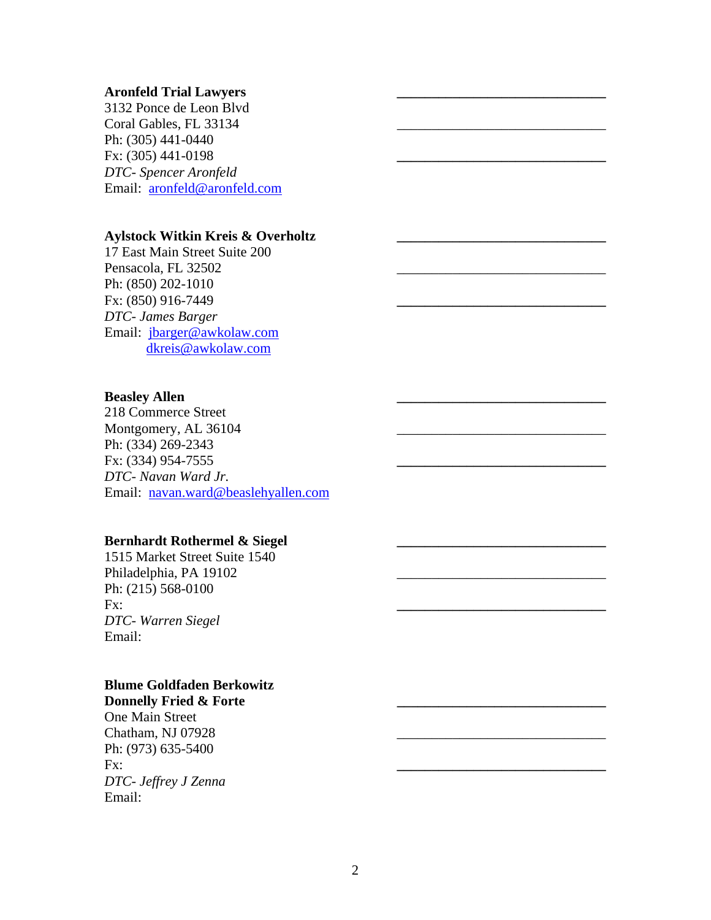#### **Aronfeld Trial Lawyers \_\_\_\_\_\_\_\_\_\_\_\_\_\_\_\_\_\_\_\_\_\_\_\_\_\_\_\_\_\_**

3132 Ponce de Leon Blvd Coral Gables, FL 33134 Ph: (305) 441-0440 Fx: (305) 441-0198 **\_\_\_\_\_\_\_\_\_\_\_\_\_\_\_\_\_\_\_\_\_\_\_\_\_\_\_\_\_\_** *DTC- Spencer Aronfeld*  Email: aronfeld@aronfeld.com

### **Aylstock Witkin Kreis & Overholtz \_\_\_\_\_\_\_\_\_\_\_\_\_\_\_\_\_\_\_\_\_\_\_\_\_\_\_\_\_\_**

17 East Main Street Suite 200 Pensacola, FL 32502 Ph: (850) 202-1010 Fx: (850) 916-7449 **\_\_\_\_\_\_\_\_\_\_\_\_\_\_\_\_\_\_\_\_\_\_\_\_\_\_\_\_\_\_** *DTC- James Barger*  Email: jbarger@awkolaw.com dkreis@awkolaw.com

#### **Beasley Allen**

218 Commerce Street Montgomery, AL 36104 Ph: (334) 269-2343 Fx: (334) 954-7555 **\_\_\_\_\_\_\_\_\_\_\_\_\_\_\_\_\_\_\_\_\_\_\_\_\_\_\_\_\_\_** *DTC- Navan Ward Jr.*  Email: navan.ward@beaslehyallen.com

### Bernhardt Rothermel & Siegel

1515 Market Street Suite 1540 Philadelphia, PA 19102 Ph: (215) 568-0100 Fx: **\_\_\_\_\_\_\_\_\_\_\_\_\_\_\_\_\_\_\_\_\_\_\_\_\_\_\_\_\_\_** *DTC- Warren Siegel*  Email:

# **Blume Goldfaden Berkowitz**

Donnelly Fried & Forte One Main Street Chatham, NJ 07928 Ph: (973) 635-5400 Fx: **\_\_\_\_\_\_\_\_\_\_\_\_\_\_\_\_\_\_\_\_\_\_\_\_\_\_\_\_\_\_** *DTC- Jeffrey J Zenna*  Email: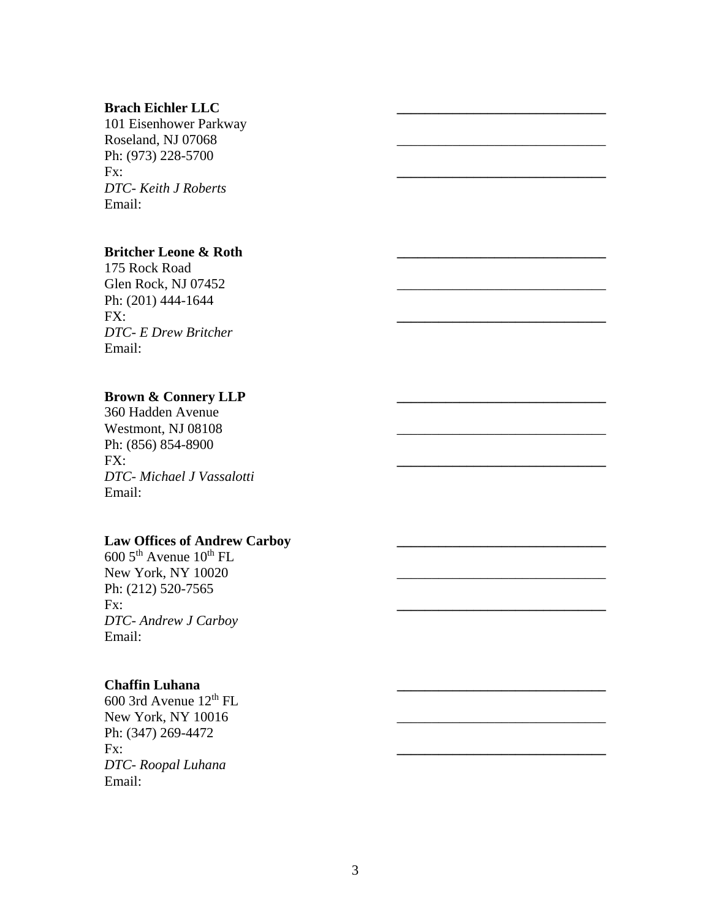#### **Brach Eichler LLC \_\_\_\_\_\_\_\_\_\_\_\_\_\_\_\_\_\_\_\_\_\_\_\_\_\_\_\_\_\_**

101 Eisenhower Parkway Roseland, NJ 07068 Ph: (973) 228-5700 Fx: **\_\_\_\_\_\_\_\_\_\_\_\_\_\_\_\_\_\_\_\_\_\_\_\_\_\_\_\_\_\_** *DTC- Keith J Roberts*  Email:

## **Britcher Leone & Roth**

175 Rock Road Glen Rock, NJ 07452 Ph: (201) 444-1644 FX: **\_\_\_\_\_\_\_\_\_\_\_\_\_\_\_\_\_\_\_\_\_\_\_\_\_\_\_\_\_\_** *DTC- E Drew Britcher*  Email:

## **Brown & Connery LLP \_\_\_\_\_\_\_\_\_\_\_\_\_\_\_\_\_\_\_\_\_\_\_\_\_\_\_\_\_\_**

360 Hadden Avenue Westmont, NJ 08108 Ph: (856) 854-8900 FX: **\_\_\_\_\_\_\_\_\_\_\_\_\_\_\_\_\_\_\_\_\_\_\_\_\_\_\_\_\_\_** *DTC- Michael J Vassalotti*  Email:

#### Law Offices of Andrew Carboy

 $6005^{\text{th}}$  Avenue  $10^{\text{th}}$  FL New York, NY 10020 Ph: (212) 520-7565 Fx: **\_\_\_\_\_\_\_\_\_\_\_\_\_\_\_\_\_\_\_\_\_\_\_\_\_\_\_\_\_\_** *DTC- Andrew J Carboy*  Email:

### **Chaffin Luhana \_\_\_\_\_\_\_\_\_\_\_\_\_\_\_\_\_\_\_\_\_\_\_\_\_\_\_\_\_\_**

600 3rd Avenue 12th FL New York, NY 10016 Ph: (347) 269-4472 Fx: **\_\_\_\_\_\_\_\_\_\_\_\_\_\_\_\_\_\_\_\_\_\_\_\_\_\_\_\_\_\_** *DTC- Roopal Luhana*  Email: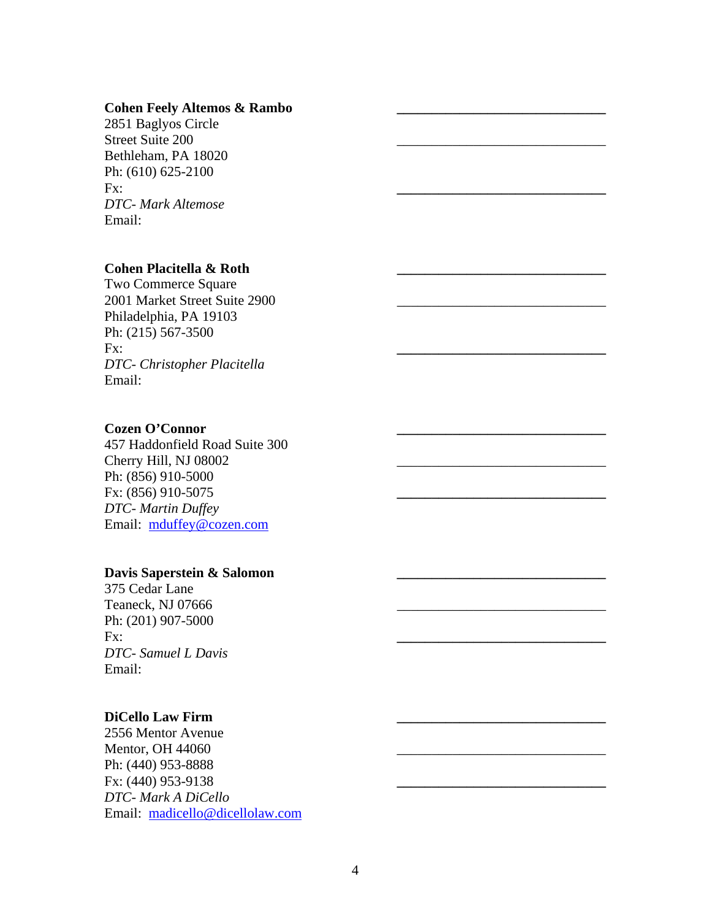#### Cohen Feely Altemos & Rambo

2851 Baglyos Circle Street Suite 200 Bethleham, PA 18020 Ph: (610) 625-2100 Fx: **\_\_\_\_\_\_\_\_\_\_\_\_\_\_\_\_\_\_\_\_\_\_\_\_\_\_\_\_\_\_** *DTC- Mark Altemose*  Email:

## **Cohen Placitella & Roth \_\_\_\_\_\_\_\_\_\_\_\_\_\_\_\_\_\_\_\_\_\_\_\_\_\_\_\_\_\_**

Two Commerce Square 2001 Market Street Suite 2900 Philadelphia, PA 19103 Ph: (215) 567-3500 Fx: **\_\_\_\_\_\_\_\_\_\_\_\_\_\_\_\_\_\_\_\_\_\_\_\_\_\_\_\_\_\_** *DTC- Christopher Placitella*  Email:

## Cozen O'Connor

457 Haddonfield Road Suite 300 Cherry Hill, NJ 08002 Ph: (856) 910-5000 Fx: (856) 910-5075 **\_\_\_\_\_\_\_\_\_\_\_\_\_\_\_\_\_\_\_\_\_\_\_\_\_\_\_\_\_\_** *DTC- Martin Duffey*  Email: mduffey@cozen.com

## **Davis Saperstein & Salomon \_\_\_\_\_\_\_\_\_\_\_\_\_\_\_\_\_\_\_\_\_\_\_\_\_\_\_\_\_\_**

375 Cedar Lane Teaneck, NJ 07666 Ph: (201) 907-5000 Fx: **\_\_\_\_\_\_\_\_\_\_\_\_\_\_\_\_\_\_\_\_\_\_\_\_\_\_\_\_\_\_** *DTC- Samuel L Davis*  Email:

## **DiCello Law Firm \_\_\_\_\_\_\_\_\_\_\_\_\_\_\_\_\_\_\_\_\_\_\_\_\_\_\_\_\_\_**

2556 Mentor Avenue Mentor, OH 44060 Ph: (440) 953-8888 Fx: (440) 953-9138 **\_\_\_\_\_\_\_\_\_\_\_\_\_\_\_\_\_\_\_\_\_\_\_\_\_\_\_\_\_\_** *DTC- Mark A DiCello*  Email: madicello@dicellolaw.com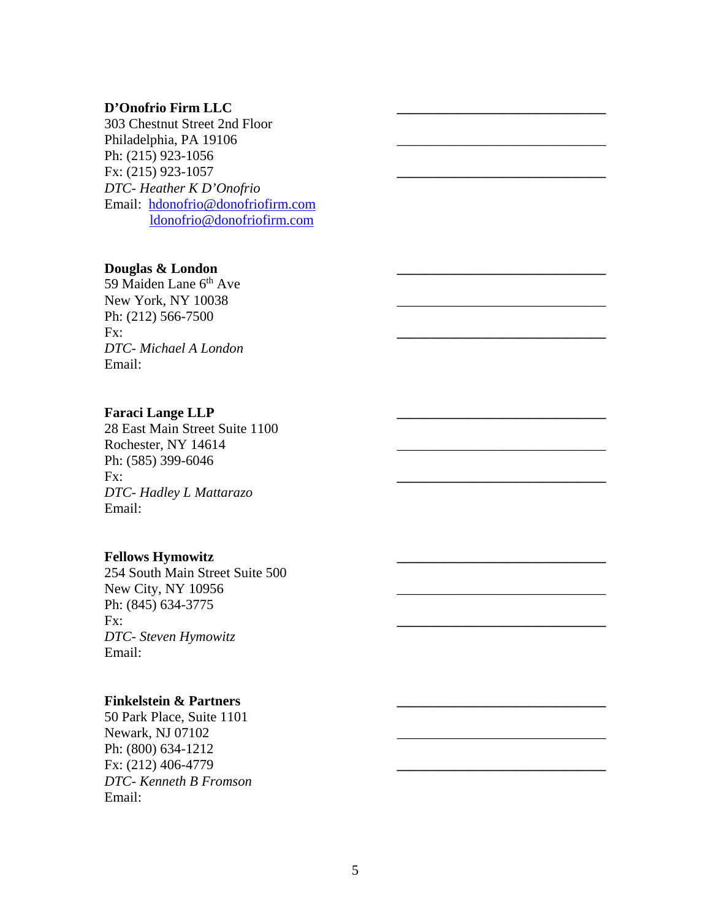### **D'Onofrio Firm LLC \_\_\_\_\_\_\_\_\_\_\_\_\_\_\_\_\_\_\_\_\_\_\_\_\_\_\_\_\_\_**

303 Chestnut Street 2nd Floor Philadelphia, PA 19106 Ph: (215) 923-1056 Fx: (215) 923-1057 **\_\_\_\_\_\_\_\_\_\_\_\_\_\_\_\_\_\_\_\_\_\_\_\_\_\_\_\_\_\_** *DTC- Heather K D'Onofrio*  Email: hdonofrio@donofriofirm.com ldonofrio@donofriofirm.com

### Douglas & London

59 Maiden Lane 6<sup>th</sup> Ave New York, NY 10038 Ph: (212) 566-7500 Fx: **\_\_\_\_\_\_\_\_\_\_\_\_\_\_\_\_\_\_\_\_\_\_\_\_\_\_\_\_\_\_** *DTC- Michael A London*  Email:

### Faraci Lange LLP

28 East Main Street Suite 1100 Rochester, NY 14614 Ph: (585) 399-6046 Fx: **\_\_\_\_\_\_\_\_\_\_\_\_\_\_\_\_\_\_\_\_\_\_\_\_\_\_\_\_\_\_** *DTC- Hadley L Mattarazo*  Email:

### Fellows Hymowitz

254 South Main Street Suite 500 New City, NY 10956 Ph: (845) 634-3775 Fx: **\_\_\_\_\_\_\_\_\_\_\_\_\_\_\_\_\_\_\_\_\_\_\_\_\_\_\_\_\_\_** *DTC- Steven Hymowitz*  Email:

#### **Finkelstein & Partners**

50 Park Place, Suite 1101 Newark, NJ 07102 Ph: (800) 634-1212 Fx: (212) 406-4779 **\_\_\_\_\_\_\_\_\_\_\_\_\_\_\_\_\_\_\_\_\_\_\_\_\_\_\_\_\_\_** *DTC- Kenneth B Fromson*  Email: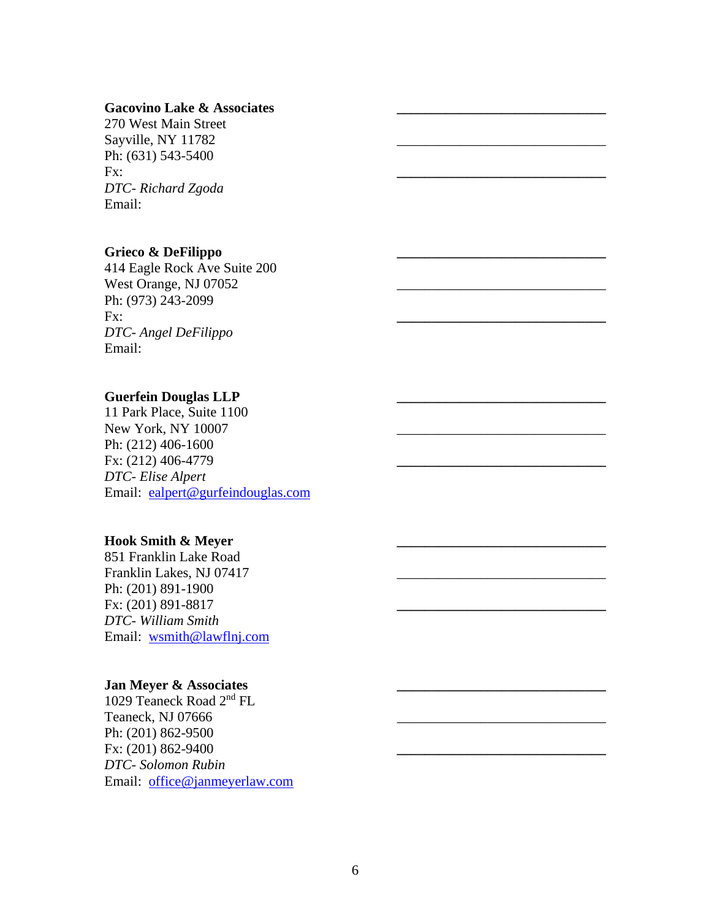### Gacovino Lake & Associates

270 West Main Street Sayville, NY 11782 Ph: (631) 543-5400 Fx: **\_\_\_\_\_\_\_\_\_\_\_\_\_\_\_\_\_\_\_\_\_\_\_\_\_\_\_\_\_\_** *DTC- Richard Zgoda*  Email:

#### **Grieco & DeFilippo \_\_\_\_\_\_\_\_\_\_\_\_\_\_\_\_\_\_\_\_\_\_\_\_\_\_\_\_\_\_**

414 Eagle Rock Ave Suite 200 West Orange, NJ 07052 Ph: (973) 243-2099 **Fx:** <u>\_\_\_\_\_\_\_\_\_\_\_\_\_\_\_\_\_\_\_\_\_\_\_\_\_\_\_\_\_\_\_\_\_\_\_</u> *DTC- Angel DeFilippo*  Email:

#### **Guerfein Douglas LLP \_\_\_\_\_\_\_\_\_\_\_\_\_\_\_\_\_\_\_\_\_\_\_\_\_\_\_\_\_\_**

11 Park Place, Suite 1100 New York, NY 10007 Ph: (212) 406-1600 Fx: (212) 406-4779 **\_\_\_\_\_\_\_\_\_\_\_\_\_\_\_\_\_\_\_\_\_\_\_\_\_\_\_\_\_\_** *DTC- Elise Alpert*  Email: ealpert@gurfeindouglas.com

#### **Hook Smith & Meyer \_\_\_\_\_\_\_\_\_\_\_\_\_\_\_\_\_\_\_\_\_\_\_\_\_\_\_\_\_\_**

851 Franklin Lake Road Franklin Lakes, NJ 07417 Ph: (201) 891-1900 Fx: (201) 891-8817 **\_\_\_\_\_\_\_\_\_\_\_\_\_\_\_\_\_\_\_\_\_\_\_\_\_\_\_\_\_\_** *DTC- William Smith*  Email: wsmith@lawflnj.com

### Jan Meyer & Associates

1029 Teaneck Road 2nd FL Teaneck, NJ 07666 Ph: (201) 862-9500 Fx: (201) 862-9400 **\_\_\_\_\_\_\_\_\_\_\_\_\_\_\_\_\_\_\_\_\_\_\_\_\_\_\_\_\_\_** *DTC- Solomon Rubin*  Email: office@janmeyerlaw.com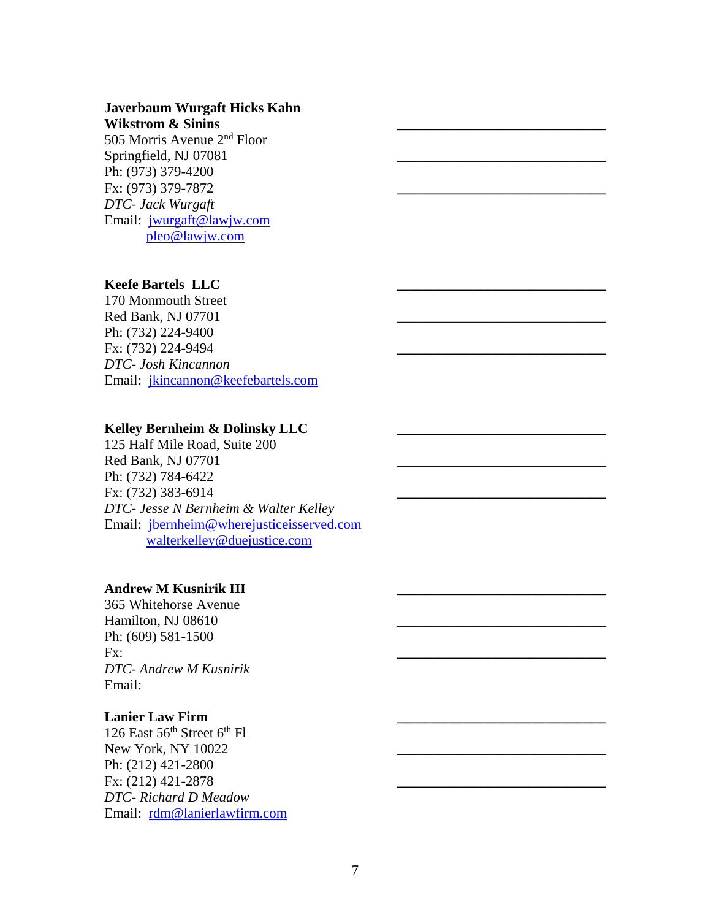#### **Javerbaum Wurgaft Hicks Kahn Wikstrom & Sinins**

505 Morris Avenue 2nd Floor Springfield, NJ 07081 Ph: (973) 379-4200 Fx: (973) 379-7872 **\_\_\_\_\_\_\_\_\_\_\_\_\_\_\_\_\_\_\_\_\_\_\_\_\_\_\_\_\_\_** *DTC- Jack Wurgaft*  Email: jwurgaft@lawjw.com pleo@lawjw.com

## **Keefe Bartels LLC \_\_\_\_\_\_\_\_\_\_\_\_\_\_\_\_\_\_\_\_\_\_\_\_\_\_\_\_\_\_**

170 Monmouth Street Red Bank, NJ 07701 Ph: (732) 224-9400 Fx: (732) 224-9494 **\_\_\_\_\_\_\_\_\_\_\_\_\_\_\_\_\_\_\_\_\_\_\_\_\_\_\_\_\_\_** *DTC- Josh Kincannon*  Email: jkincannon@keefebartels.com

## Kelley Bernheim & Dolinsky LLC

125 Half Mile Road, Suite 200 Red Bank, NJ 07701 Ph: (732) 784-6422 Fx: (732) 383-6914 **\_\_\_\_\_\_\_\_\_\_\_\_\_\_\_\_\_\_\_\_\_\_\_\_\_\_\_\_\_\_** *DTC- Jesse N Bernheim & Walter Kelley*  Email: jbernheim@wherejusticeisserved.com walterkelley@duejustice.com

## **Andrew M Kusnirik III \_\_\_\_\_\_\_\_\_\_\_\_\_\_\_\_\_\_\_\_\_\_\_\_\_\_\_\_\_\_**

365 Whitehorse Avenue Hamilton, NJ 08610 Ph: (609) 581-1500 Fx: **\_\_\_\_\_\_\_\_\_\_\_\_\_\_\_\_\_\_\_\_\_\_\_\_\_\_\_\_\_\_** *DTC- Andrew M Kusnirik*  Email:

#### Lanier Law Firm

126 East  $56<sup>th</sup>$  Street  $6<sup>th</sup>$  Fl New York, NY 10022 Ph: (212) 421-2800 Fx: (212) 421-2878 **\_\_\_\_\_\_\_\_\_\_\_\_\_\_\_\_\_\_\_\_\_\_\_\_\_\_\_\_\_\_** *DTC- Richard D Meadow*  Email: rdm@lanierlawfirm.com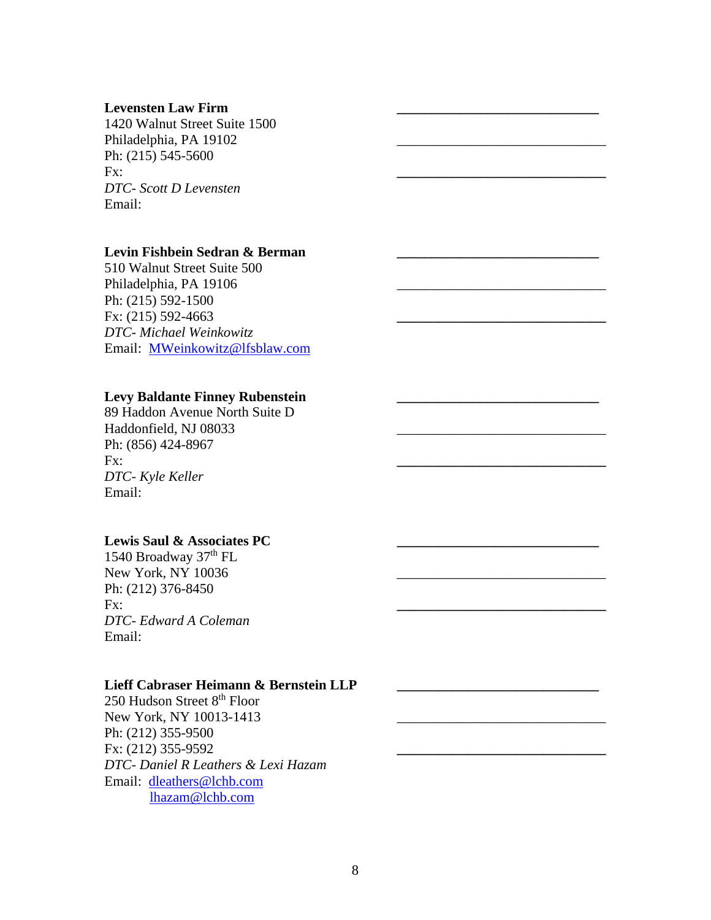#### **Levensten Law Firm \_\_\_\_\_\_\_\_\_\_\_\_\_\_\_\_\_\_\_\_\_\_\_\_\_\_\_\_\_**

1420 Walnut Street Suite 1500 Philadelphia, PA 19102 Ph: (215) 545-5600 Fx: **\_\_\_\_\_\_\_\_\_\_\_\_\_\_\_\_\_\_\_\_\_\_\_\_\_\_\_\_\_\_** *DTC- Scott D Levensten*  Email:

#### Levin Fishbein Sedran & Berman

510 Walnut Street Suite 500 Philadelphia, PA 19106 Ph: (215) 592-1500 Fx: (215) 592-4663 **\_\_\_\_\_\_\_\_\_\_\_\_\_\_\_\_\_\_\_\_\_\_\_\_\_\_\_\_\_\_** *DTC- Michael Weinkowitz*  Email: MWeinkowitz@lfsblaw.com

### Levy Baldante Finney Rubenstein

89 Haddon Avenue North Suite D Haddonfield, NJ 08033 Ph: (856) 424-8967 Fx: **\_\_\_\_\_\_\_\_\_\_\_\_\_\_\_\_\_\_\_\_\_\_\_\_\_\_\_\_\_\_** *DTC- Kyle Keller*  Email:

#### Lewis Saul & Associates PC

1540 Broadway 37th FL New York, NY 10036 Ph: (212) 376-8450 Fx: **\_\_\_\_\_\_\_\_\_\_\_\_\_\_\_\_\_\_\_\_\_\_\_\_\_\_\_\_\_\_** *DTC- Edward A Coleman*  Email:

#### Lieff Cabraser Heimann & Bernstein LLP

250 Hudson Street 8<sup>th</sup> Floor New York, NY 10013-1413 Ph: (212) 355-9500 Fx: (212) 355-9592 **\_\_\_\_\_\_\_\_\_\_\_\_\_\_\_\_\_\_\_\_\_\_\_\_\_\_\_\_\_\_** *DTC- Daniel R Leathers & Lexi Hazam*  Email: dleathers@lchb.com lhazam@lchb.com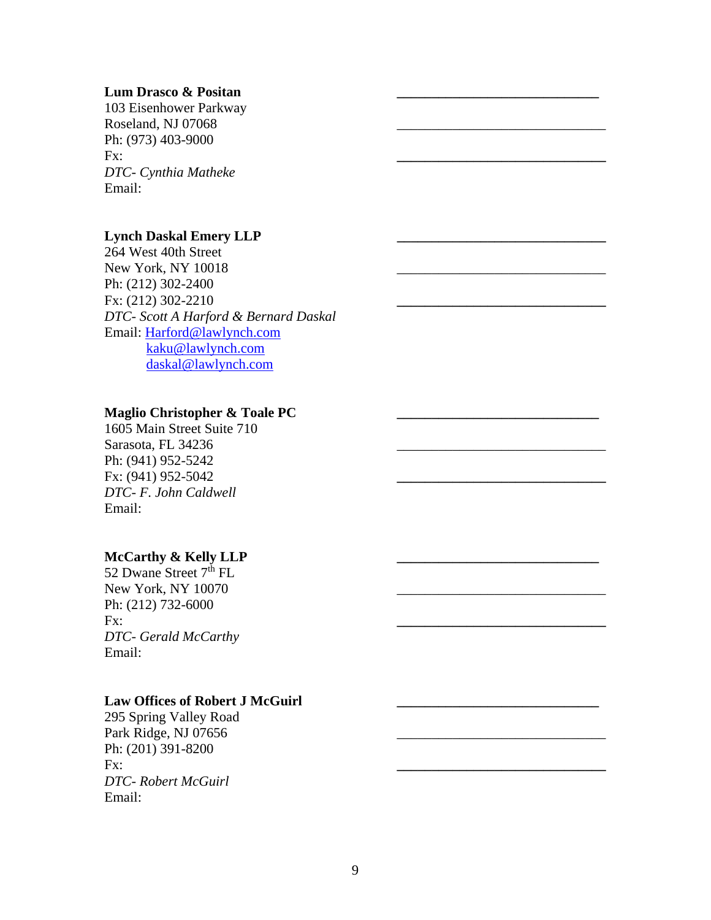#### **Lum Drasco & Positan \_\_\_\_\_\_\_\_\_\_\_\_\_\_\_\_\_\_\_\_\_\_\_\_\_\_\_\_\_**

103 Eisenhower Parkway Roseland, NJ 07068 Ph: (973) 403-9000 **Fx:** <u>\_\_\_\_\_\_\_\_\_\_\_\_\_\_\_\_\_\_\_\_\_\_\_\_\_\_\_\_\_\_\_\_\_\_\_</u> *DTC- Cynthia Matheke*  Email:

#### **Lynch Daskal Emery LLP \_\_\_\_\_\_\_\_\_\_\_\_\_\_\_\_\_\_\_\_\_\_\_\_\_\_\_\_\_\_**

264 West 40th Street New York, NY 10018 Ph: (212) 302-2400 Fx: (212) 302-2210 **\_\_\_\_\_\_\_\_\_\_\_\_\_\_\_\_\_\_\_\_\_\_\_\_\_\_\_\_\_\_** *DTC- Scott A Harford & Bernard Daskal*  Email: Harford@lawlynch.com kaku@lawlynch.com daskal@lawlynch.com

### **Maglio Christopher & Toale PC**

1605 Main Street Suite 710 Sarasota, FL 34236 Ph: (941) 952-5242 Fx: (941) 952-5042 **\_\_\_\_\_\_\_\_\_\_\_\_\_\_\_\_\_\_\_\_\_\_\_\_\_\_\_\_\_\_** *DTC- F. John Caldwell*  Email:

### McCarthy & Kelly LLP

52 Dwane Street  $7<sup>th</sup> FL$ New York, NY 10070 Ph: (212) 732-6000 **Fx:** <u>\_\_\_\_\_\_\_\_\_\_\_\_\_\_\_\_\_\_\_\_\_\_\_\_\_\_\_\_\_\_\_\_\_\_\_</u> *DTC- Gerald McCarthy*  Email:

#### Law Offices of Robert **J** McGuirl

295 Spring Valley Road Park Ridge, NJ 07656 Ph: (201) 391-8200 Fx: **\_\_\_\_\_\_\_\_\_\_\_\_\_\_\_\_\_\_\_\_\_\_\_\_\_\_\_\_\_\_** *DTC- Robert McGuirl*  Email: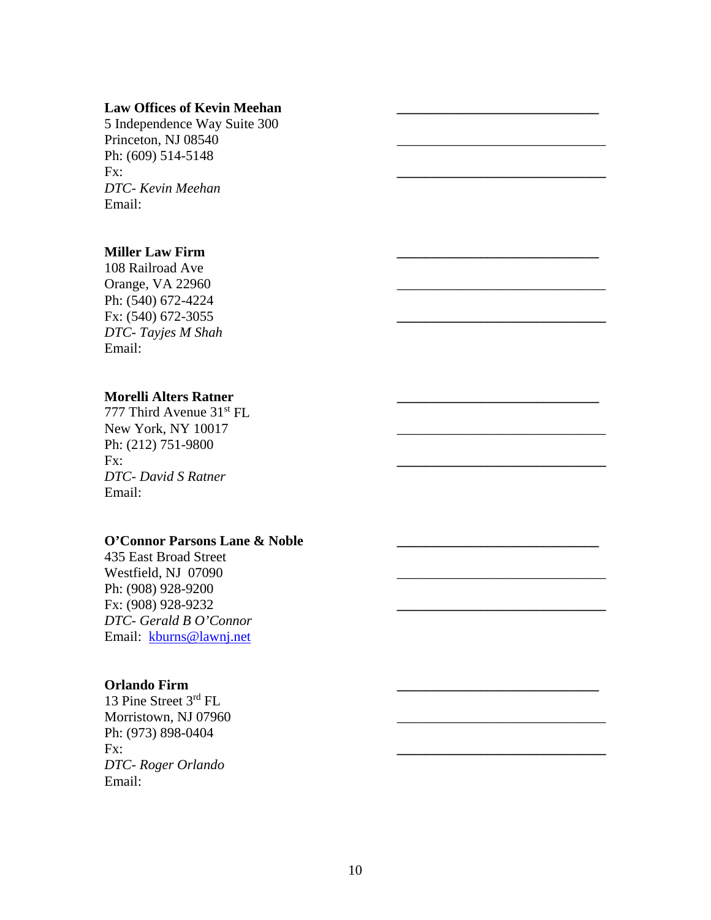### Law Offices of Kevin Meehan

5 Independence Way Suite 300 Princeton, NJ 08540 Ph: (609) 514-5148 Fx: **\_\_\_\_\_\_\_\_\_\_\_\_\_\_\_\_\_\_\_\_\_\_\_\_\_\_\_\_\_\_** *DTC- Kevin Meehan*  Email:

### **Miller Law Firm \_\_\_\_\_\_\_\_\_\_\_\_\_\_\_\_\_\_\_\_\_\_\_\_\_\_\_\_\_**

108 Railroad Ave Orange, VA 22960 Ph: (540) 672-4224 Fx: (540) 672-3055 **\_\_\_\_\_\_\_\_\_\_\_\_\_\_\_\_\_\_\_\_\_\_\_\_\_\_\_\_\_\_** *DTC- Tayjes M Shah*  Email:

## **Morelli Alters Ratner \_\_\_\_\_\_\_\_\_\_\_\_\_\_\_\_\_\_\_\_\_\_\_\_\_\_\_\_\_**

777 Third Avenue 31<sup>st</sup> FL New York, NY 10017 Ph: (212) 751-9800 Fx: **\_\_\_\_\_\_\_\_\_\_\_\_\_\_\_\_\_\_\_\_\_\_\_\_\_\_\_\_\_\_** *DTC- David S Ratner*  Email:

#### **O'Connor Parsons Lane & Noble \_\_\_\_\_\_\_\_\_\_\_\_\_\_\_\_\_\_\_\_\_\_\_\_\_\_\_\_\_**

435 East Broad Street Westfield, NJ 07090 Ph: (908) 928-9200 Fx: (908) 928-9232 **\_\_\_\_\_\_\_\_\_\_\_\_\_\_\_\_\_\_\_\_\_\_\_\_\_\_\_\_\_\_** *DTC- Gerald B O'Connor*  Email: kburns@lawnj.net

### **Orlando Firm \_\_\_\_\_\_\_\_\_\_\_\_\_\_\_\_\_\_\_\_\_\_\_\_\_\_\_\_\_**

13 Pine Street 3rd FL Morristown, NJ 07960 Ph: (973) 898-0404 Fx: **\_\_\_\_\_\_\_\_\_\_\_\_\_\_\_\_\_\_\_\_\_\_\_\_\_\_\_\_\_\_** *DTC- Roger Orlando*  Email: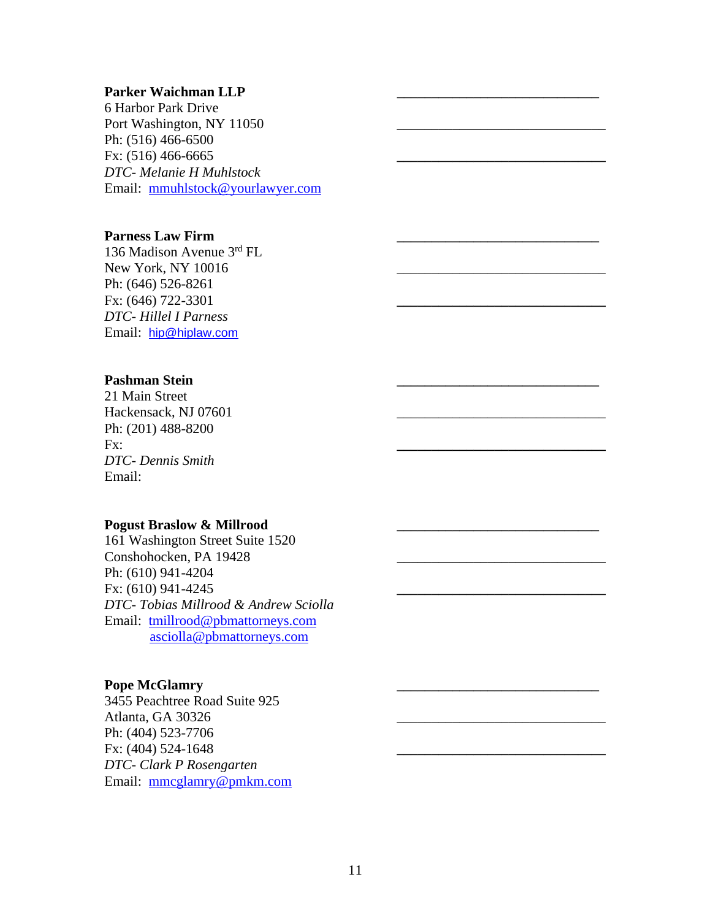### Parker Waichman LLP

6 Harbor Park Drive Port Washington, NY 11050 Ph: (516) 466-6500 Fx: (516) 466-6665 **\_\_\_\_\_\_\_\_\_\_\_\_\_\_\_\_\_\_\_\_\_\_\_\_\_\_\_\_\_\_** *DTC- Melanie H Muhlstock*  Email: mmuhlstock@yourlawyer.com

### **Parness Law Firm \_\_\_\_\_\_\_\_\_\_\_\_\_\_\_\_\_\_\_\_\_\_\_\_\_\_\_\_\_**

136 Madison Avenue 3rd FL New York, NY 10016 Ph: (646) 526-8261 Fx: (646) 722-3301 **\_\_\_\_\_\_\_\_\_\_\_\_\_\_\_\_\_\_\_\_\_\_\_\_\_\_\_\_\_\_** *DTC- Hillel I Parness*  Email: hip@hiplaw.com

## Pashman Stein

21 Main Street Hackensack, NJ 07601 Ph: (201) 488-8200 Fx: **\_\_\_\_\_\_\_\_\_\_\_\_\_\_\_\_\_\_\_\_\_\_\_\_\_\_\_\_\_\_** *DTC- Dennis Smith*  Email:

#### Pogust Braslow & Millrood

161 Washington Street Suite 1520 Conshohocken, PA 19428 Ph: (610) 941-4204 Fx: (610) 941-4245 **\_\_\_\_\_\_\_\_\_\_\_\_\_\_\_\_\_\_\_\_\_\_\_\_\_\_\_\_\_\_** *DTC- Tobias Millrood & Andrew Sciolla*  Email: tmillrood@pbmattorneys.com asciolla@pbmattorneys.com

### Pope McGlamry

3455 Peachtree Road Suite 925 Atlanta, GA 30326 \_\_\_\_\_\_\_\_\_\_\_\_\_\_\_\_\_\_\_\_\_\_\_\_\_\_\_\_\_\_ Ph: (404) 523-7706 Fx: (404) 524-1648 **\_\_\_\_\_\_\_\_\_\_\_\_\_\_\_\_\_\_\_\_\_\_\_\_\_\_\_\_\_\_** *DTC- Clark P Rosengarten*  Email: mmcglamry@pmkm.com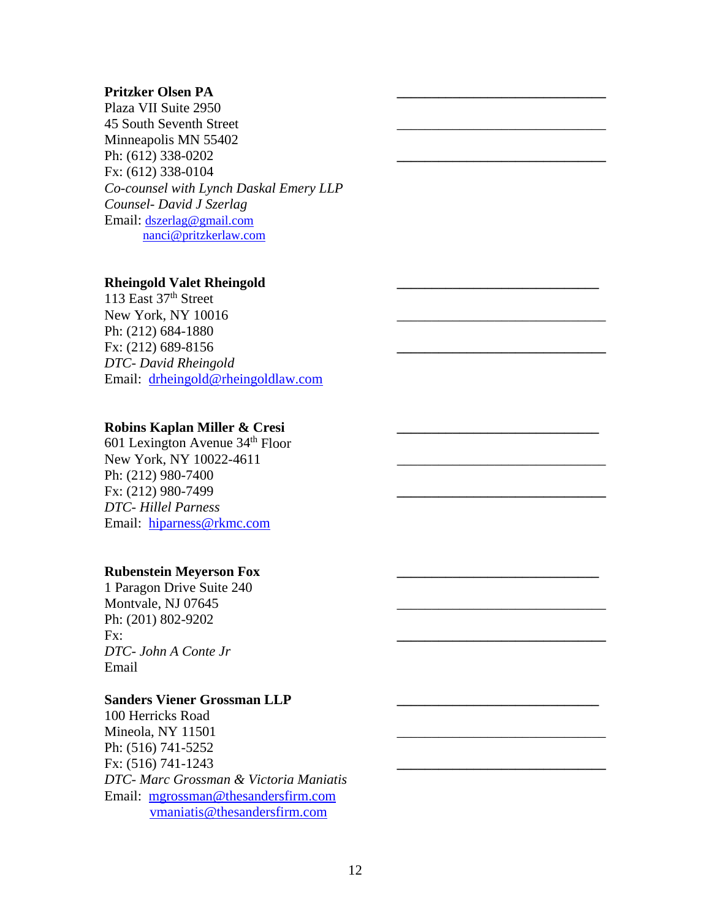### **Pritzker Olsen PA \_\_\_\_\_\_\_\_\_\_\_\_\_\_\_\_\_\_\_\_\_\_\_\_\_\_\_\_\_\_**

Plaza VII Suite 2950 45 South Seventh Street Minneapolis MN 55402 Ph: (612) 338-0202 Fx: (612) 338-0104 *Co-counsel with Lynch Daskal Emery LLP Counsel- David J Szerlag*  Email: dszerlag@gmail.com nanci@pritzkerlaw.com

#### **Rheingold Valet Rheingold \_\_\_\_\_\_\_\_\_\_\_\_\_\_\_\_\_\_\_\_\_\_\_\_\_\_\_\_\_**

113 East 37<sup>th</sup> Street New York, NY 10016 Ph: (212) 684-1880 Fx: (212) 689-8156 **\_\_\_\_\_\_\_\_\_\_\_\_\_\_\_\_\_\_\_\_\_\_\_\_\_\_\_\_\_\_** *DTC- David Rheingold*  Email: drheingold@rheingoldlaw.com

#### Robins Kaplan Miller & Cresi

601 Lexington Avenue 34th Floor New York, NY 10022-4611 Ph: (212) 980-7400 Fx: (212) 980-7499 **\_\_\_\_\_\_\_\_\_\_\_\_\_\_\_\_\_\_\_\_\_\_\_\_\_\_\_\_\_\_** *DTC- Hillel Parness*  Email: hiparness@rkmc.com

#### **Rubenstein Meyerson Fox \_\_\_\_\_\_\_\_\_\_\_\_\_\_\_\_\_\_\_\_\_\_\_\_\_\_\_\_\_**

1 Paragon Drive Suite 240 Montvale, NJ 07645 Ph: (201) 802-9202 Fx: **\_\_\_\_\_\_\_\_\_\_\_\_\_\_\_\_\_\_\_\_\_\_\_\_\_\_\_\_\_\_** *DTC- John A Conte Jr*  Email

#### Sanders Viener Grossman LLP

100 Herricks Road Mineola, NY 11501 Ph: (516) 741-5252 Fx: (516) 741-1243 **\_\_\_\_\_\_\_\_\_\_\_\_\_\_\_\_\_\_\_\_\_\_\_\_\_\_\_\_\_\_** *DTC- Marc Grossman & Victoria Maniatis*  Email: mgrossman@thesandersfirm.com vmaniatis@thesandersfirm.com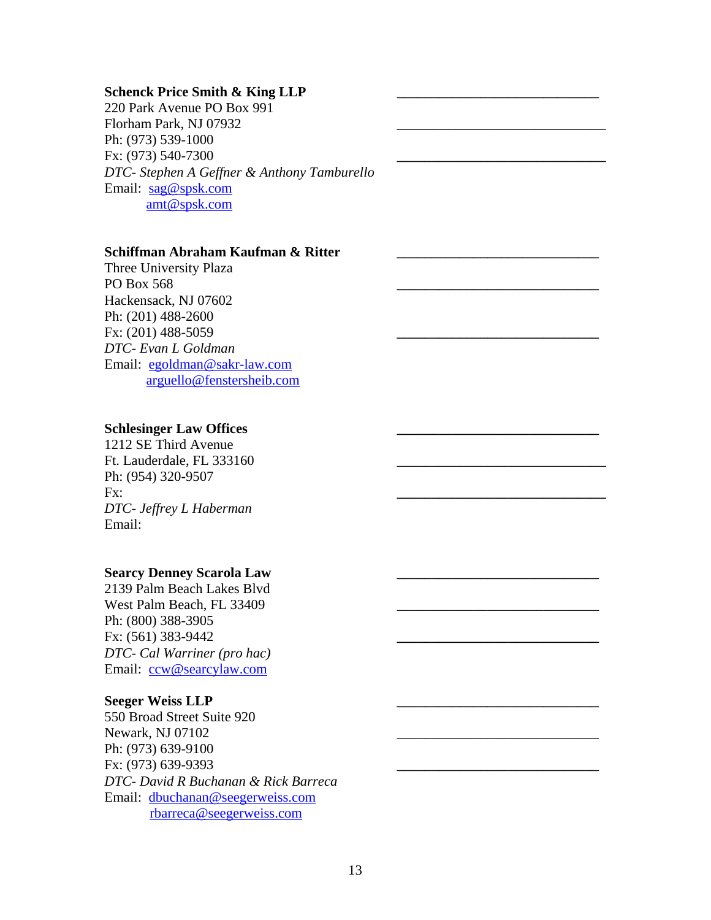#### Schenck Price Smith & King LLP

220 Park Avenue PO Box 991 Florham Park, NJ 07932 Ph: (973) 539-1000 Fx: (973) 540-7300 **\_\_\_\_\_\_\_\_\_\_\_\_\_\_\_\_\_\_\_\_\_\_\_\_\_\_\_\_\_\_** *DTC- Stephen A Geffner & Anthony Tamburello*  Email: sag@spsk.com amt@spsk.com

#### **Schiffman Abraham Kaufman & Ritter \_\_\_\_\_\_\_\_\_\_\_\_\_\_\_\_\_\_\_\_\_\_\_\_\_\_\_\_\_**

Three University Plaza PO Box 568 **\_\_\_\_\_\_\_\_\_\_\_\_\_\_\_\_\_\_\_\_\_\_\_\_\_\_\_\_\_** Hackensack, NJ 07602 Ph: (201) 488-2600 Fx: (201) 488-5059 **\_\_\_\_\_\_\_\_\_\_\_\_\_\_\_\_\_\_\_\_\_\_\_\_\_\_\_\_\_** *DTC- Evan L Goldman*  Email: egoldman@sakr-law.com arguello@fenstersheib.com

## **Schlesinger Law Offices \_\_\_\_\_\_\_\_\_\_\_\_\_\_\_\_\_\_\_\_\_\_\_\_\_\_\_\_\_**

1212 SE Third Avenue Ft. Lauderdale, FL 333160 Ph: (954) 320-9507 Fx: **\_\_\_\_\_\_\_\_\_\_\_\_\_\_\_\_\_\_\_\_\_\_\_\_\_\_\_\_\_\_** *DTC- Jeffrey L Haberman*  Email:

#### Searcy Denney Scarola Law

2139 Palm Beach Lakes Blvd West Palm Beach, FL 33409 Ph: (800) 388-3905 Fx: (561) 383-9442 **\_\_\_\_\_\_\_\_\_\_\_\_\_\_\_\_\_\_\_\_\_\_\_\_\_\_\_\_\_** *DTC- Cal Warriner (pro hac)*  Email: ccw@searcylaw.com

#### **Seeger Weiss LLP \_\_\_\_\_\_\_\_\_\_\_\_\_\_\_\_\_\_\_\_\_\_\_\_\_\_\_\_\_**

550 Broad Street Suite 920 Newark, NJ 07102 Ph: (973) 639-9100 Fx: (973) 639-9393 **\_\_\_\_\_\_\_\_\_\_\_\_\_\_\_\_\_\_\_\_\_\_\_\_\_\_\_\_\_** *DTC- David R Buchanan & Rick Barreca*  Email: dbuchanan@seegerweiss.com rbarreca@seegerweiss.com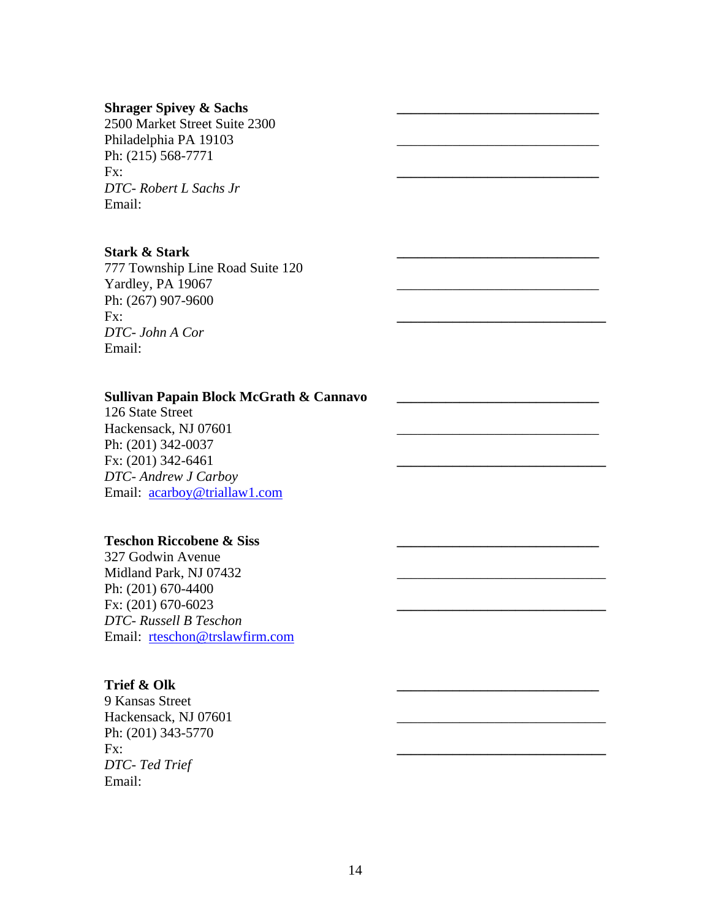#### Shrager Spivey & Sachs

2500 Market Street Suite 2300 Philadelphia PA 19103 Ph: (215) 568-7771 Fx: **\_\_\_\_\_\_\_\_\_\_\_\_\_\_\_\_\_\_\_\_\_\_\_\_\_\_\_\_\_** *DTC- Robert L Sachs Jr*  Email:

#### **Stark & Stark \_\_\_\_\_\_\_\_\_\_\_\_\_\_\_\_\_\_\_\_\_\_\_\_\_\_\_\_\_**

777 Township Line Road Suite 120 Yardley, PA 19067 Ph: (267) 907-9600 **Fx:** <u>\_\_\_\_\_\_\_\_\_\_\_\_\_\_\_\_\_\_\_\_\_\_\_\_\_\_\_\_\_\_\_\_\_\_\_</u> *DTC- John A Cor*  Email:

## Sullivan Papain Block McGrath & Cannavo

126 State Street Hackensack, NJ 07601 Ph: (201) 342-0037 Fx: (201) 342-6461 **\_\_\_\_\_\_\_\_\_\_\_\_\_\_\_\_\_\_\_\_\_\_\_\_\_\_\_\_\_\_** *DTC- Andrew J Carboy*  Email: acarboy@triallaw1.com

#### **Teschon Riccobene & Siss \_\_\_\_\_\_\_\_\_\_\_\_\_\_\_\_\_\_\_\_\_\_\_\_\_\_\_\_\_**

327 Godwin Avenue Midland Park, NJ 07432 Ph: (201) 670-4400 Fx: (201) 670-6023 **\_\_\_\_\_\_\_\_\_\_\_\_\_\_\_\_\_\_\_\_\_\_\_\_\_\_\_\_\_\_** *DTC- Russell B Teschon*  Email: rteschon@trslawfirm.com

### **Trief & Olk \_\_\_\_\_\_\_\_\_\_\_\_\_\_\_\_\_\_\_\_\_\_\_\_\_\_\_\_\_**

9 Kansas Street Hackensack, NJ 07601 Ph: (201) 343-5770 Fx: **\_\_\_\_\_\_\_\_\_\_\_\_\_\_\_\_\_\_\_\_\_\_\_\_\_\_\_\_\_\_** *DTC- Ted Trief*  Email: